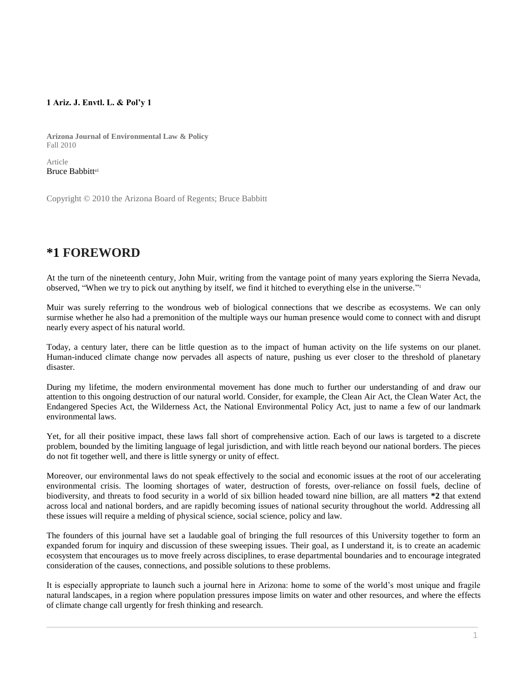## **1 Ariz. J. Envtl. L. & Pol'y 1**

**Arizona Journal of Environmental Law & Policy** Fall 2010

Article [Bruce Babbitt](http://www.westlaw.com/Link/Document/FullText?findType=h&pubNum=176284&cite=0282049601&originatingDoc=I0ecc828d2df011e18b05fdf15589d8e8&refType=RQ&originationContext=document&vr=3.0&rs=cblt1.0&transitionType=DocumentItem&contextData=(sc.Search))<sup>a1</sup>

Copyright © 2010 the Arizona Board of Regents; Bruce Babbitt

## **\*1 FOREWORD**

At the turn of the nineteenth century, John Muir, writing from the vantage point of many years exploring the Sierra Nevada, observed, "When we try to pick out anything by itself, we find it hitched to everything else in the universe." 1

Muir was surely referring to the wondrous web of biological connections that we describe as ecosystems. We can only surmise whether he also had a premonition of the multiple ways our human presence would come to connect with and disrupt nearly every aspect of his natural world.

Today, a century later, there can be little question as to the impact of human activity on the life systems on our planet. Human-induced climate change now pervades all aspects of nature, pushing us ever closer to the threshold of planetary disaster.

During my lifetime, the modern environmental movement has done much to further our understanding of and draw our attention to this ongoing destruction of our natural world. Consider, for example, the Clean Air Act, the Clean Water Act, the Endangered Species Act, the Wilderness Act, the National Environmental Policy Act, just to name a few of our landmark environmental laws.

Yet, for all their positive impact, these laws fall short of comprehensive action. Each of our laws is targeted to a discrete problem, bounded by the limiting language of legal jurisdiction, and with little reach beyond our national borders. The pieces do not fit together well, and there is little synergy or unity of effect.

Moreover, our environmental laws do not speak effectively to the social and economic issues at the root of our accelerating environmental crisis. The looming shortages of water, destruction of forests, over-reliance on fossil fuels, decline of biodiversity, and threats to food security in a world of six billion headed toward nine billion, are all matters **\*2** that extend across local and national borders, and are rapidly becoming issues of national security throughout the world. Addressing all these issues will require a melding of physical science, social science, policy and law.

The founders of this journal have set a laudable goal of bringing the full resources of this University together to form an expanded forum for inquiry and discussion of these sweeping issues. Their goal, as I understand it, is to create an academic ecosystem that encourages us to move freely across disciplines, to erase departmental boundaries and to encourage integrated consideration of the causes, connections, and possible solutions to these problems.

It is especially appropriate to launch such a journal here in Arizona: home to some of the world's most unique and fragile natural landscapes, in a region where population pressures impose limits on water and other resources, and where the effects of climate change call urgently for fresh thinking and research.